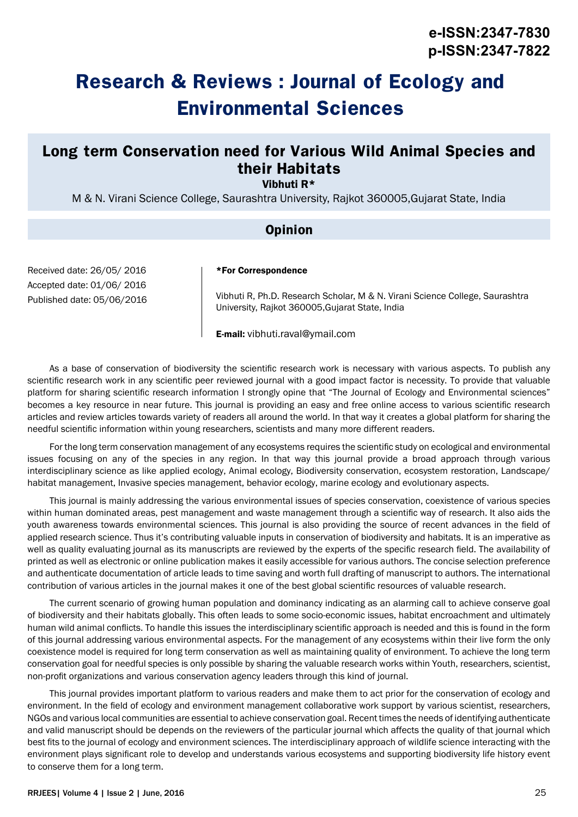# **Research & Reviews : Journal of Ecology and Environmental Sciences**

## **Long term Conservation need for Various Wild Animal Species and their Habitats**

Vibhuti R\*

M & N. Virani Science College, Saurashtra University, Rajkot 360005,Gujarat State, India

### **Opinion**

Received date: 26/05/ 2016 Accepted date: 01/06/ 2016 Published date: 05/06/2016

#### \*For Correspondence

Vibhuti R, Ph.D. Research Scholar, M & N. Virani Science College, Saurashtra University, Rajkot 360005,Gujarat State, India

E-mail: vibhuti.raval@ymail.com

As a base of conservation of biodiversity the scientific research work is necessary with various aspects. To publish any scientific research work in any scientific peer reviewed journal with a good impact factor is necessity. To provide that valuable platform for sharing scientific research information I strongly opine that "The Journal of Ecology and Environmental sciences" becomes a key resource in near future. This journal is providing an easy and free online access to various scientific research articles and review articles towards variety of readers all around the world. In that way it creates a global platform for sharing the needful scientific information within young researchers, scientists and many more different readers.

For the long term conservation management of any ecosystems requires the scientific study on ecological and environmental issues focusing on any of the species in any region. In that way this journal provide a broad approach through various interdisciplinary science as like applied ecology, Animal ecology, Biodiversity conservation, ecosystem restoration, Landscape/ habitat management, Invasive species management, behavior ecology, marine ecology and evolutionary aspects.

This journal is mainly addressing the various environmental issues of species conservation, coexistence of various species within human dominated areas, pest management and waste management through a scientific way of research. It also aids the youth awareness towards environmental sciences. This journal is also providing the source of recent advances in the field of applied research science. Thus it's contributing valuable inputs in conservation of biodiversity and habitats. It is an imperative as well as quality evaluating journal as its manuscripts are reviewed by the experts of the specific research field. The availability of printed as well as electronic or online publication makes it easily accessible for various authors. The concise selection preference and authenticate documentation of article leads to time saving and worth full drafting of manuscript to authors. The international contribution of various articles in the journal makes it one of the best global scientific resources of valuable research.

The current scenario of growing human population and dominancy indicating as an alarming call to achieve conserve goal of biodiversity and their habitats globally. This often leads to some socio-economic issues, habitat encroachment and ultimately human wild animal conflicts. To handle this issues the interdisciplinary scientific approach is needed and this is found in the form of this journal addressing various environmental aspects. For the management of any ecosystems within their live form the only coexistence model is required for long term conservation as well as maintaining quality of environment. To achieve the long term conservation goal for needful species is only possible by sharing the valuable research works within Youth, researchers, scientist, non-profit organizations and various conservation agency leaders through this kind of journal.

This journal provides important platform to various readers and make them to act prior for the conservation of ecology and environment. In the field of ecology and environment management collaborative work support by various scientist, researchers, NGOs and various local communities are essential to achieve conservation goal. Recent times the needs of identifying authenticate and valid manuscript should be depends on the reviewers of the particular journal which affects the quality of that journal which best fits to the journal of ecology and environment sciences. The interdisciplinary approach of wildlife science interacting with the environment plays significant role to develop and understands various ecosystems and supporting biodiversity life history event to conserve them for a long term.